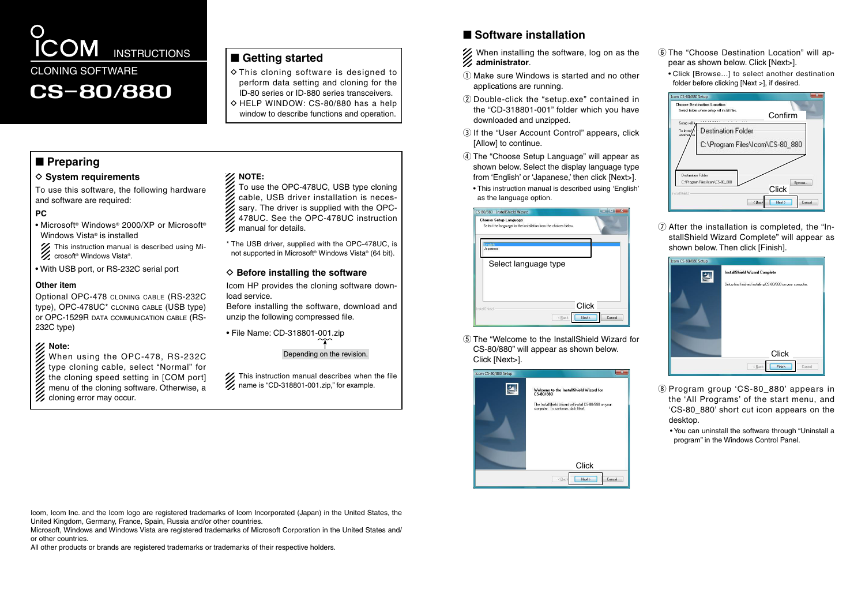

## ■ Getting started

 $\diamond$  This cloning software is designed to perform data setting and cloning for the ID-80 series or ID-880 series transceivers.  $\Diamond$  HELP WINDOW: CS-80/880 has a help window to describe functions and operation.

## ■ **Preparing**

## **♦ System requirements**

To use this software, the following hardware and software are required:

## **PC**

- Microsoft® Windows® 2000/XP or Microsoft® Windows Vista® is installed
- This instruction manual is described using Microsoft® Windows Vista®.
- With USB port, or RS-232C serial port

#### **Other item**

Optional OPC-478 cloning cable (RS-232C type), OPC-478UC\* cloning cable (USB type) or OPC-1529R data communication cable (RS-232C type)

## **Note:**

- When using the OPC-478, RS-232C
- type cloning cable, select "Normal" for
- the cloning speed setting in [COM port]
- menu of the cloning software. Otherwise, a cloning error may occur.

- To use the OPC-478UC, USB type cloning cable, USB driver installation is necessary. The driver is supplied with the OPC-478UC. See the OPC-478UC instruction
- \* The USB driver, supplied with the OPC-478UC, is not supported in Microsoft® Windows Vista® (64 bit).

load service.

Before installing the software, download and unzip the following compressed file.

Depending on the revision.

This instruction manual describes when the file

When installing the software, log on as the **administrator**.

■ Software installation

- $\Omega$  Make sure Windows is started and no other applications are running.
- $\Omega$  Double-click the "setup.exe" contained in the "CD-318801-001" folder which you have downloaded and unzipped.
- (3) If the "User Account Control" appears, click [Allow] to continue.
- (4) The "Choose Setup Language" will appear as shown below. Select the display language type from 'English' or 'Japanese,' then click [Next>].
	- This instruction manual is described using 'English' as the language option.

| CS-80/880 - InstallShield Wizard<br><b>Choose Setup Language</b><br>Select the language for the installation from the choices below. | $m =$ |
|--------------------------------------------------------------------------------------------------------------------------------------|-------|
|                                                                                                                                      |       |
| English<br>Japanese                                                                                                                  |       |
| Select language type                                                                                                                 |       |
|                                                                                                                                      |       |
|                                                                                                                                      |       |
|                                                                                                                                      |       |
| InstallShield                                                                                                                        | Click |

 $(5)$  The "Welcome to the InstallShield Wizard for CS-80/880" will appear as shown below. Click [Next>].



- y The "Choose Destination Location" will appear as shown below. Click [Next>].
- Click [Browse 1 to select another destination] folder before clicking [Next >], if desired.



 $\Omega$  After the installation is completed, the "InstallShield Wizard Complete" will appear as shown below. Then click [Finish].

| Icom CS-80/880 Setup |                                                           |
|----------------------|-----------------------------------------------------------|
| e                    | <b>InstallShield Wizard Complete</b>                      |
|                      | Setup has finished installing CS-80/880 on your computer. |
|                      |                                                           |
|                      |                                                           |
|                      |                                                           |
|                      |                                                           |
|                      |                                                           |
|                      |                                                           |
|                      | Click                                                     |
|                      | $\epsilon$ Back<br>Finish<br>Cancel                       |

- i Program group 'CS-80\_880' appears in the 'All Programs' of the start menu, and 'CS-80\_880' short cut icon appears on the desktop.
	- You can uninstall the software through "Uninstall a program" in the Windows Control Panel.

Icom, Icom Inc. and the Icom logo are registered trademarks of Icom Incorporated (Japan) in the United States, the United Kingdom, Germany, France, Spain, Russia and/or other countries.

Microsoft, Windows and Windows Vista are registered trademarks of Microsoft Corporation in the United States and/ or other countries.

All other products or brands are registered trademarks or trademarks of their respective holders.

**NOTE:**

- manual for details.
- 

## $\diamond$  Before installing the software

Icom HP provides the cloning software down-

• File Name: CD-318801-001.zip

This instruction manual describes when t<br>
I name is "CD-318801-001.zip," for example.